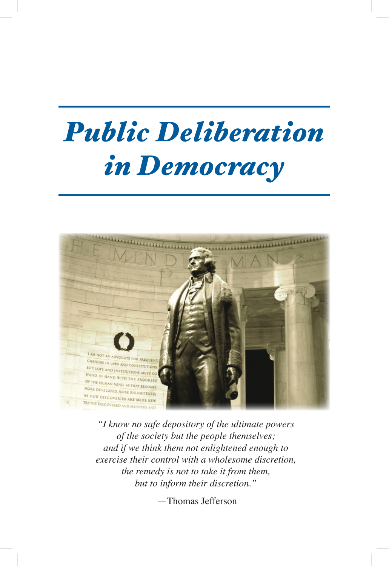## *Public Deliberation in Democracy*



*"I know no safe depository of the ultimate powers of the society but the people themselves; and if we think them not enlightened enough to exercise their control with a wholesome discretion, the remedy is not to take it from them, but to inform their discretion."*

—Thomas Jefferson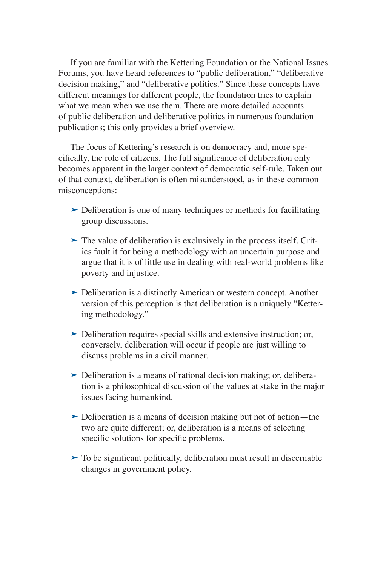If you are familiar with the Kettering Foundation or the National Issues Forums, you have heard references to "public deliberation," "deliberative decision making," and "deliberative politics." Since these concepts have different meanings for different people, the foundation tries to explain what we mean when we use them. There are more detailed accounts of public deliberation and deliberative politics in numerous foundation publications; this only provides a brief overview.

The focus of Kettering's research is on democracy and, more specifically, the role of citizens. The full significance of deliberation only becomes apparent in the larger context of democratic self-rule. Taken out of that context, deliberation is often misunderstood, as in these common misconceptions:

- ► Deliberation is one of many techniques or methods for facilitating group discussions.
- ► The value of deliberation is exclusively in the process itself. Critics fault it for being a methodology with an uncertain purpose and argue that it is of little use in dealing with real-world problems like poverty and injustice.
- ► Deliberation is a distinctly American or western concept. Another version of this perception is that deliberation is a uniquely "Kettering methodology."
- Deliberation requires special skills and extensive instruction; or, ‰ conversely, deliberation will occur if people are just willing to discuss problems in a civil manner.
- ► Deliberation is a means of rational decision making; or, deliberation is a philosophical discussion of the values at stake in the major issues facing humankind.
- ► Deliberation is a means of decision making but not of action—the two are quite different; or, deliberation is a means of selecting specific solutions for specific problems.
- ► To be significant politically, deliberation must result in discernable changes in government policy.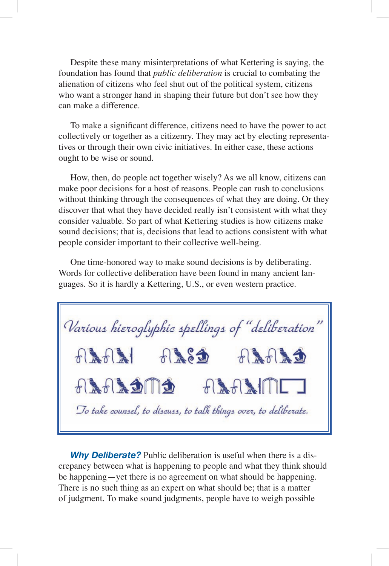Despite these many misinterpretations of what Kettering is saying, the foundation has found that *public deliberation* is crucial to combating the alienation of citizens who feel shut out of the political system, citizens who want a stronger hand in shaping their future but don't see how they can make a difference.

To make a significant difference, citizens need to have the power to act collectively or together as a citizenry. They may act by electing representatives or through their own civic initiatives. In either case, these actions ought to be wise or sound.

How, then, do people act together wisely? As we all know, citizens can make poor decisions for a host of reasons. People can rush to conclusions without thinking through the consequences of what they are doing. Or they discover that what they have decided really isn't consistent with what they consider valuable. So part of what Kettering studies is how citizens make sound decisions; that is, decisions that lead to actions consistent with what people consider important to their collective well-being.

One time-honored way to make sound decisions is by deliberating. Words for collective deliberation have been found in many ancient languages. So it is hardly a Kettering, U.S., or even western practice.



*Why Deliberate?* Public deliberation is useful when there is a discrepancy between what is happening to people and what they think should be happening—yet there is no agreement on what should be happening. There is no such thing as an expert on what should be; that is a matter of judgment. To make sound judgments, people have to weigh possible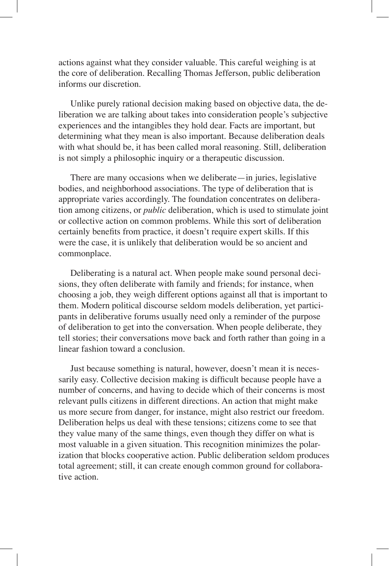actions against what they consider valuable. This careful weighing is at the core of deliberation. Recalling Thomas Jefferson, public deliberation informs our discretion.

Unlike purely rational decision making based on objective data, the deliberation we are talking about takes into consideration people's subjective experiences and the intangibles they hold dear. Facts are important, but determining what they mean is also important. Because deliberation deals with what should be, it has been called moral reasoning. Still, deliberation is not simply a philosophic inquiry or a therapeutic discussion.

There are many occasions when we deliberate—in juries, legislative bodies, and neighborhood associations. The type of deliberation that is appropriate varies accordingly. The foundation concentrates on deliberation among citizens, or *public* deliberation, which is used to stimulate joint or collective action on common problems. While this sort of deliberation certainly benefits from practice, it doesn't require expert skills. If this were the case, it is unlikely that deliberation would be so ancient and commonplace.

Deliberating is a natural act. When people make sound personal decisions, they often deliberate with family and friends; for instance, when choosing a job, they weigh different options against all that is important to them. Modern political discourse seldom models deliberation, yet participants in deliberative forums usually need only a reminder of the purpose of deliberation to get into the conversation. When people deliberate, they tell stories; their conversations move back and forth rather than going in a linear fashion toward a conclusion.

Just because something is natural, however, doesn't mean it is necessarily easy. Collective decision making is difficult because people have a number of concerns, and having to decide which of their concerns is most relevant pulls citizens in different directions. An action that might make us more secure from danger, for instance, might also restrict our freedom. Deliberation helps us deal with these tensions; citizens come to see that they value many of the same things, even though they differ on what is most valuable in a given situation. This recognition minimizes the polarization that blocks cooperative action. Public deliberation seldom produces total agreement; still, it can create enough common ground for collaborative action.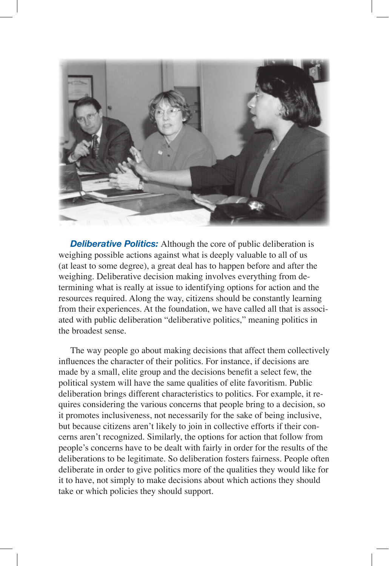

**Deliberative Politics:** Although the core of public deliberation is weighing possible actions against what is deeply valuable to all of us (at least to some degree), a great deal has to happen before and after the weighing. Deliberative decision making involves everything from determining what is really at issue to identifying options for action and the resources required. Along the way, citizens should be constantly learning from their experiences. At the foundation, we have called all that is associated with public deliberation "deliberative politics," meaning politics in the broadest sense.

The way people go about making decisions that affect them collectively influences the character of their politics. For instance, if decisions are made by a small, elite group and the decisions benefit a select few, the political system will have the same qualities of elite favoritism. Public deliberation brings different characteristics to politics. For example, it requires considering the various concerns that people bring to a decision, so it promotes inclusiveness, not necessarily for the sake of being inclusive, but because citizens aren't likely to join in collective efforts if their concerns aren't recognized. Similarly, the options for action that follow from people's concerns have to be dealt with fairly in order for the results of the deliberations to be legitimate. So deliberation fosters fairness. People often deliberate in order to give politics more of the qualities they would like for it to have, not simply to make decisions about which actions they should take or which policies they should support.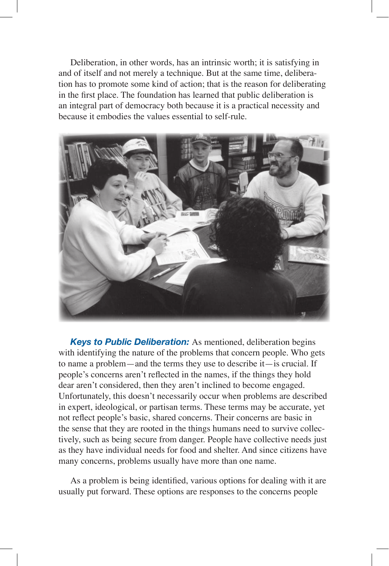Deliberation, in other words, has an intrinsic worth; it is satisfying in and of itself and not merely a technique. But at the same time, deliberation has to promote some kind of action; that is the reason for deliberating in the first place. The foundation has learned that public deliberation is an integral part of democracy both because it is a practical necessity and because it embodies the values essential to self-rule.



*Keys to Public Deliberation:* As mentioned, deliberation begins with identifying the nature of the problems that concern people. Who gets to name a problem—and the terms they use to describe it—is crucial. If people's concerns aren't reflected in the names, if the things they hold dear aren't considered, then they aren't inclined to become engaged. Unfortunately, this doesn't necessarily occur when problems are described in expert, ideological, or partisan terms. These terms may be accurate, yet not reflect people's basic, shared concerns. Their concerns are basic in the sense that they are rooted in the things humans need to survive collectively, such as being secure from danger. People have collective needs just as they have individual needs for food and shelter. And since citizens have many concerns, problems usually have more than one name.

As a problem is being identified, various options for dealing with it are usually put forward. These options are responses to the concerns people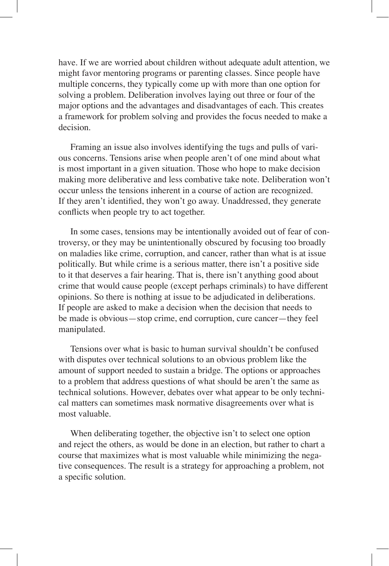have. If we are worried about children without adequate adult attention, we might favor mentoring programs or parenting classes. Since people have multiple concerns, they typically come up with more than one option for solving a problem. Deliberation involves laying out three or four of the major options and the advantages and disadvantages of each. This creates a framework for problem solving and provides the focus needed to make a decision.

Framing an issue also involves identifying the tugs and pulls of various concerns. Tensions arise when people aren't of one mind about what is most important in a given situation. Those who hope to make decision making more deliberative and less combative take note. Deliberation won't occur unless the tensions inherent in a course of action are recognized. If they aren't identified, they won't go away. Unaddressed, they generate conflicts when people try to act together.

In some cases, tensions may be intentionally avoided out of fear of controversy, or they may be unintentionally obscured by focusing too broadly on maladies like crime, corruption, and cancer, rather than what is at issue politically. But while crime is a serious matter, there isn't a positive side to it that deserves a fair hearing. That is, there isn't anything good about crime that would cause people (except perhaps criminals) to have different opinions. So there is nothing at issue to be adjudicated in deliberations. If people are asked to make a decision when the decision that needs to be made is obvious—stop crime, end corruption, cure cancer—they feel manipulated.

Tensions over what is basic to human survival shouldn't be confused with disputes over technical solutions to an obvious problem like the amount of support needed to sustain a bridge. The options or approaches to a problem that address questions of what should be aren't the same as technical solutions. However, debates over what appear to be only technical matters can sometimes mask normative disagreements over what is most valuable.

When deliberating together, the objective isn't to select one option and reject the others, as would be done in an election, but rather to chart a course that maximizes what is most valuable while minimizing the negative consequences. The result is a strategy for approaching a problem, not a specific solution.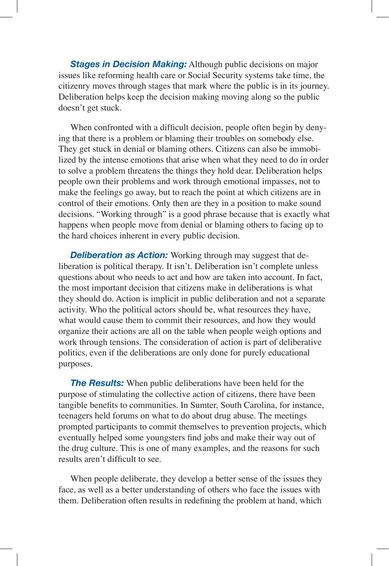**Stages in Decision Making:** Although public decisions on major issues like reforming health care or Social Security systems take time, the citizenry moves through stages that mark where the public is in its journey. Deliberation helps keep the decision making moving along so the public doesn't get stuck.

When confronted with a difficult decision, people often begin by denying that there is a problem or blaming their troubles on somebody else. They get stuck in denial or blaming others. Citizens can also be immobilized by the intense emotions that arise when what they need to do in order to solve a problem threatens the things they hold dear. Deliberation helps people own their problems and work through emotional impasses, not to make the feelings go away, but to reach the point at which citizens are in control of their emotions. Only then are they in a position to make sound decisions. "Working through" is a good phrase because that is exactly what happens when people move from denial or blaming others to facing up to the hard choices inherent in every public decision.

*Deliberation as Action:* Working through may suggest that deliberation is political therapy. It isn't. Deliberation isn't complete unless questions about who needs to act and how are taken into account. In fact, the most important decision that citizens make in deliberations is what they should do. Action is implicit in public deliberation and not a separate activity. Who the political actors should be, what resources they have, what would cause them to commit their resources, and how they would organize their actions are all on the table when people weigh options and work through tensions. The consideration of action is part of deliberative politics, even if the deliberations are only done for purely educational purposes.

*The Results:* When public deliberations have been held for the purpose of stimulating the collective action of citizens, there have been tangible benefits to communities. In Sumter, South Carolina, for instance, teenagers held forums on what to do about drug abuse. The meetings prompted participants to commit themselves to prevention projects, which eventually helped some youngsters find jobs and make their way out of the drug culture. This is one of many examples, and the reasons for such results aren't difficult to see.

When people deliberate, they develop a better sense of the issues they face, as well as a better understanding of others who face the issues with them. Deliberation often results in redefining the problem at hand, which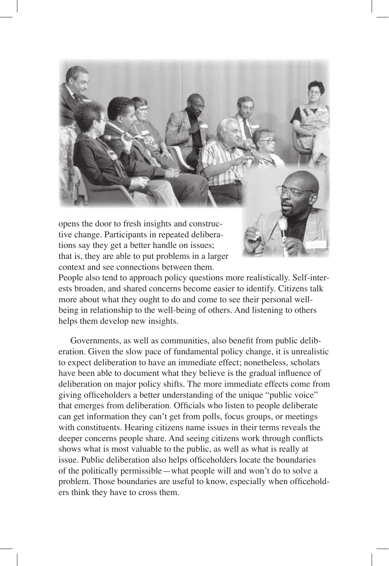

that is, they are able to put problems in a larger context and see connections between them. People also tend to approach policy questions more realistically. Self-interests broaden, and shared concerns become easier to identify. Citizens talk more about what they ought to do and come to see their personal well-

being in relationship to the well-being of others. And listening to others helps them develop new insights.

Governments, as well as communities, also benefit from public deliberation. Given the slow pace of fundamental policy change, it is unrealistic to expect deliberation to have an immediate effect; nonetheless, scholars have been able to document what they believe is the gradual influence of deliberation on major policy shifts. The more immediate effects come from giving officeholders a better understanding of the unique "public voice" that emerges from deliberation. Officials who listen to people deliberate can get information they can't get from polls, focus groups, or meetings with constituents. Hearing citizens name issues in their terms reveals the deeper concerns people share. And seeing citizens work through conflicts shows what is most valuable to the public, as well as what is really at issue. Public deliberation also helps officeholders locate the boundaries of the politically permissible—what people will and won't do to solve a problem. Those boundaries are useful to know, especially when officeholders think they have to cross them.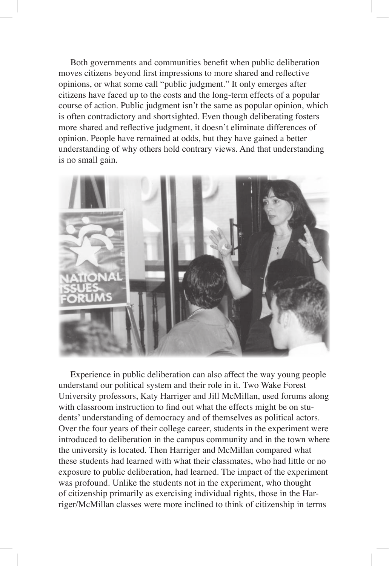Both governments and communities benefit when public deliberation moves citizens beyond first impressions to more shared and reflective opinions, or what some call "public judgment." It only emerges after citizens have faced up to the costs and the long-term effects of a popular course of action. Public judgment isn't the same as popular opinion, which is often contradictory and shortsighted. Even though deliberating fosters more shared and reflective judgment, it doesn't eliminate differences of opinion. People have remained at odds, but they have gained a better understanding of why others hold contrary views. And that understanding is no small gain.



Experience in public deliberation can also affect the way young people understand our political system and their role in it. Two Wake Forest University professors, Katy Harriger and Jill McMillan, used forums along with classroom instruction to find out what the effects might be on students' understanding of democracy and of themselves as political actors. Over the four years of their college career, students in the experiment were introduced to deliberation in the campus community and in the town where the university is located. Then Harriger and McMillan compared what these students had learned with what their classmates, who had little or no exposure to public deliberation, had learned. The impact of the experiment was profound. Unlike the students not in the experiment, who thought of citizenship primarily as exercising individual rights, those in the Harriger/McMillan classes were more inclined to think of citizenship in terms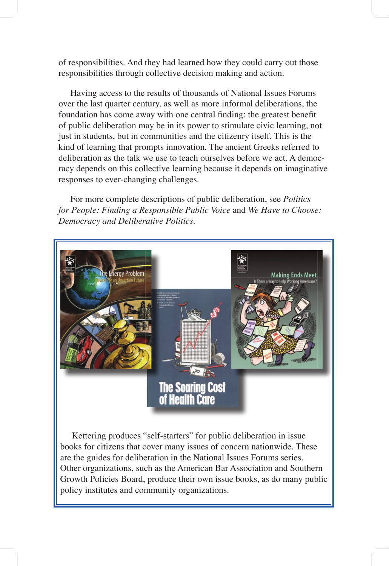of responsibilities. And they had learned how they could carry out those responsibilities through collective decision making and action.

Having access to the results of thousands of National Issues Forums over the last quarter century, as well as more informal deliberations, the foundation has come away with one central finding: the greatest benefit of public deliberation may be in its power to stimulate civic learning, not just in students, but in communities and the citizenry itself. This is the kind of learning that prompts innovation. The ancient Greeks referred to deliberation as the talk we use to teach ourselves before we act. A democracy depends on this collective learning because it depends on imaginative responses to ever-changing challenges.

For more complete descriptions of public deliberation, see *Politics for People: Finding a Responsible Public Voice* and *We Have to Choose: Democracy and Deliberative Politics*.



Kettering produces "self-starters" for public deliberation in issue books for citizens that cover many issues of concern nationwide. These are the guides for deliberation in the National Issues Forums series. Other organizations, such as the American Bar Association and Southern Growth Policies Board, produce their own issue books, as do many public policy institutes and community organizations.